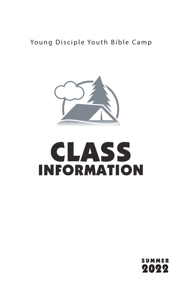#### Young Disciple Youth Bible Camp



# **CLASS** INFORMATION

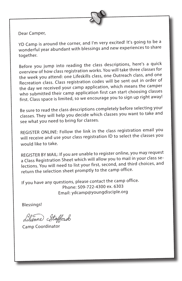

Dear Camper,

YD Camp is around the corner, and I'm very excited! It's going to be a wonderful year abundant with blessings and new experiences to share together.

Before you jump into reading the class descriptions, here's a quick overview of how class registration works. You will take three classes for the week you attend: one Lifeskills class, one Outreach class, and one Recreation class. Class registration codes will be sent out in order of the day we received your camp application, which means the camper who submitted their camp application first can start choosing classes first. Class space is limited, so we encourage you to sign up right away!

Be sure to read the class descriptions completely before selecting your classes. They will help you decide which classes you want to take and see what you need to bring for classes.

REGISTER ONLINE: Follow the link in the class registration email you will receive and use your class registration ID to select the classes you would like to take.

REGISTER BY MAIL: If you are unable to register online, you may reques<sup>t</sup> a Class Registration Sheet which will allow you to mail in your class selections. You will need to list your first, second, and third choices, and return the selection sheet promptly to the camp office.

If you have any questions, please contact the camp office. Phone: 509-722-4300 ex. 6303 Email: ydcamp@youngdisciple.org

Blessings!

dilienne Stafford

Camp Coordinator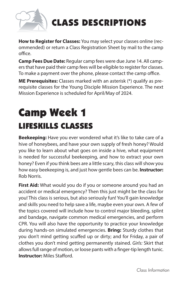

## CLASS DESCRIPTIONS

**How to Register for Classes:** You may select your classes online (recommended) or return a Class Registration Sheet by mail to the camp office.

**Camp Fees Due Date:** Regular camp fees were due June 14. All campers that have paid their camp fees will be eligible to register for classes. To make a payment over the phone, please contact the camp office.

**ME Prerequisites:** Classes marked with an asterisk (\*) qualify as prerequisite classes for the Young Disciple Mission Experience. The next Mission Experience is scheduled for April/May of 2024.

## Camp Week 1 LIFESKILLS CLASSES

**Beekeeping:** Have you ever wondered what it's like to take care of a hive of honeybees, and have your own supply of fresh honey? Would you like to learn about what goes on inside a hive, what equipment is needed for successful beekeeping, and how to extract your own honey? Even if you think bees are a little scary, this class will show you how easy beekeeping is, and just how gentle bees can be. **Instructor:**  Rob Norris.

**First Aid:** What would you do if you or someone around you had an accident or medical emergency? Then this just might be the class for you! This class is serious, but also seriously fun! You'll gain knowledge and skills you need to help save a life, maybe even your own. A few of the topics covered will include how to control major bleeding, splint and bandage, navigate common medical emergencies, and perform CPR. You will also have the opportunity to practice your knowledge during hands-on simulated emergencies. **Bring:** Sturdy clothes that you don't mind getting scuffed up or dirty; and for Friday, a pair of clothes you don't mind getting permanently stained. *Girls:* Skirt that allows full range of motion, or loose pants with a finger-tip length tunic. **Instructor:** Miles Stafford.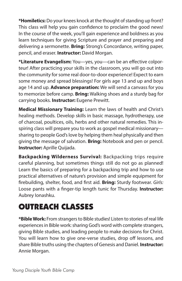**\*Homiletics:** Do your knees knock at the thought of standing up front? This class will help you gain confidence to proclaim the good news! In the course of the week, you'll gain experience and boldness as you learn techniques for giving Scripture and prayer and preparing and delivering a sermonette. **Bring:** Strong's Concordance, writing paper, pencil, and eraser. **Instructor:** David Morgan.

**\*Literature Evangelism:** You—yes, you—can be an effective colporteur! After practicing your skills in the classroom, you will go out into the community for some real door-to-door experience! Expect to earn some money and spread blessings! For girls age 13 and up and boys age 14 and up. **Advance preparation:** We will send a canvass for you to memorize before camp. **Bring:** Walking shoes and a sturdy bag for carrying books. **Instructor:** Eugene Prewitt.

**Medical Missionary Training:** Learn the laws of health and Christ's healing methods. Develop skills in basic massage, hydrotherapy, use of charcoal, poultices, oils, herbs and other natural remedies. This inspiring class will prepare you to work as gospel medical missionary sharing to people God's love by helping them heal physically and then giving the message of salvation. **Bring:** Notebook and pen or pencil. **Instructor:** Aprille Quijada.

**Backpacking Wilderness Survival:** Backpacking trips require careful planning, but sometimes things still do not go as planned! Learn the basics of preparing for a backpacking trip and how to use practical alternatives of nature's provision and simple equipment for firebuilding, shelter, food, and first aid. **Bring:** Sturdy footwear. *Girls:* Loose pants with a finger-tip length tunic for Thursday. **Instructor:**  Aubrey Ionashku.

#### OUTREACH CLASSES

**\*Bible Work:** From strangers to Bible studies! Listen to stories of real life experiences in Bible work: sharing God's word with complete strangers, giving Bible studies, and leading people to make decisions for Christ. You will learn how to give one-verse studies, drop off lessons, and share Bible truths using the chapters of Genesis and Daniel. **Instructor:** Annie Morgan.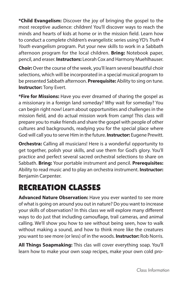**\*Child Evangelism:** Discover the joy of bringing the gospel to the most receptive audience: children! You'll discover ways to reach the minds and hearts of kids at home or in the mission field. Learn how to conduct a complete children's evangelistic series using YD's *Truth 4 Youth* evangelism program. Put your new skills to work in a Sabbath afternoon program for the local children. **Bring:** Notebook paper, pencil, and eraser. **Instructors:** Leorah Cox and Harmony Muehlhauser.

**Choir:** Over the course of the week, you'll learn several beautiful choir selections, which will be incorporated in a special musical program to be presented Sabbath afternoon. **Prerequisite:** Ability to sing on tune. **Instructor:** Tony Evert.

**\*Fire for Missions:** Have you ever dreamed of sharing the gospel as a missionary in a foreign land someday? Why wait for someday? You can begin right now! Learn about opportunities and challenges in the mission field, and do actual mission work from camp! This class will prepare you to make friends and share the gospel with people of other cultures and backgrounds, readying you for the special place where God will call you to serve Him in the future. **Instructor:** Eugene Prewitt.

**Orchestra:** Calling all musicians! Here is a wonderful opportunity to get together, polish your skills, and use them for God's glory. You'll practice and perfect several sacred orchestral selections to share on Sabbath. **Bring:** Your portable instrument and pencil. **Prerequisites:**  Ability to read music and to play an orchestra instrument. **Instructor:**  Benjamin Carpenter.

### RECREATION CLASSES

**Advanced Nature Observation:** Have you ever wanted to see more of what is going on around you out in nature? Do you want to increase your skills of observation? In this class we will explore many different ways to do just that including camouflage, trail cameras, and animal calling. We'll show you how to see without being seen, how to walk without making a sound, and how to think more like the creatures you want to see more (or less) of in the woods. **Instructor:** Rob Norris.

**All Things Soapmaking:** This clas will cover everything soap. You'll learn how to make your own soap recipes, make your own cold pro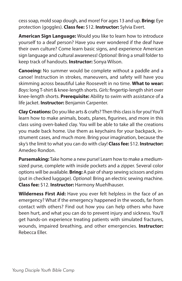cess soap, mold soap dough, and more! For ages 13 and up. **Bring:** Eye protection (goggles). **Class fee:** \$12. **Instructor:** Sylvia Evert.

**American Sign Language:** Would you like to learn how to introduce yourself to a deaf person? Have you ever wondered if the deaf have their own culture? Come learn basic signs, and experience American sign language and cultural awareness! *Optional:* Bring a small folder to keep track of handouts. **Instructor:** Sonya Wilson.

**Canoeing:** No summer would be complete without a paddle and a canoe! Instruction in strokes, maneuvers, and safety will have you skimming across beautiful Lake Roosevelt in no time. **What to wear:**  *Boys:* long T-shirt & knee-length shorts. *Girls:* fingertip-length shirt over knee-length shorts. **Prerequisite:** Ability to swim with assistance of a life jacket. **Instructor:** Benjamin Carpenter.

**Clay Creations:** Do you like arts & crafts? Then this class is for you! You'll learn how to make animals, boats, planes, figurines, and more in this class using oven-baked clay. You will be able to take all the creations you made back home. Use them as keychains for your backpack, instrument cases, and much more. Bring your imagination, because the sky's the limit to what you can do with clay! **Class fee:** \$12. **Instructor:**  Amedeo Rondon.

**Pursemaking:** Take home a new purse! Learn how to make a mediumsized purse, complete with inside pockets and a zipper. Several color options will be available. **Bring:** A pair of sharp sewing scissors and pins (put in checked luggage). *Optional:* Bring an electric sewing machine. **Class fee:** \$12. **Instructor:** Harmony Muehlhauser.

**Wilderness First Aid:** Have you ever felt helpless in the face of an emergency? What if the emergency happened in the woods, far from contact with others? Find out how you can help others who have been hurt, and what you can do to prevent injury and sickness. You'll get hands-on experience treating patients with simulated fractures, wounds, impaired breathing, and other emergencies. **Instructor:**  Rebecca Eller.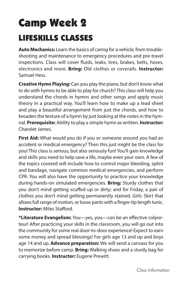## Camp Week 2 LIFESKILLS CLASSES

**Auto Mechanics:** Learn the basics of caring for a vehicle, from troubleshooting and maintenance to emergency procedures and pre-travel inspections. Class will cover fluids, leaks, tires, brakes, belts, hoses, electronics and more. **Bring:** Old clothes or coveralls. **Instructor:**  Samuel Hess.

**Creative Hymn Playing:** Can you play the piano, but don't know what to do with hymns to be able to play for church? This class will help you understand the chords in hymns and other songs and apply music theory in a practical way. You'll learn how to make up a lead sheet and play a beautiful arrangement from just the chords, and how to broaden the texture of a hymn by just looking at the notes in the hymnal. **Prerequisite:** Ability to play a simple hymn as written. **Instructor:**  Charolet James.

**First Aid:** What would you do if you or someone around you had an accident or medical emergency? Then this just might be the class for you! This class is serious, but also seriously fun! You'll gain knowledge and skills you need to help save a life, maybe even your own. A few of the topics covered will include how to control major bleeding, splint and bandage, navigate common medical emergencies, and perform CPR. You will also have the opportunity to practice your knowledge during hands-on simulated emergencies. **Bring:** Sturdy clothes that you don't mind getting scuffed up or dirty; and for Friday, a pair of clothes you don't mind getting permanently stained. *Girls:* Skirt that allows full range of motion, or loose pants with a finger-tip length tunic. **Instructor:** Miles Stafford.

**\*Literature Evangelism:** You—yes, you—can be an effective colporteur! After practicing your skills in the classroom, you will go out into the community for some real door-to-door experience! Expect to earn some money and spread blessings! For girls age 13 and up and boys age 14 and up. **Advance preparation:** We will send a canvass for you to memorize before camp. **Bring:** Walking shoes and a sturdy bag for carrying books. **Instructor:** Eugene Prewitt.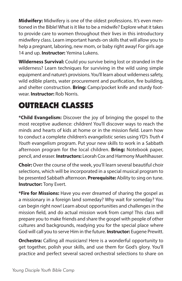**Midwifery:** Midwifery is one of the oldest professions. It's even mentioned in the Bible! What is it like to be a midwife? Explore what it takes to provide care to women throughout their lives in this introductory midwifery class. Learn important hands-on skills that will allow you to help a pregnant, laboring, new mom, or baby right away! For girls age 14 and up. **Instructor:** Yemina Lukens.

**Wilderness Survival:** Could you survive being lost or stranded in the wilderness? Learn techniques for surviving in the wild using simple equipment and nature's provisions. You'll learn about wilderness safety, wild edible plants, water procurement and purification, fire building, and shelter construction. **Bring:** Camp/pocket knife and sturdy footwear. **Instructor:** Rob Norris.

#### OUTREACH CLASSES

**\*Child Evangelism:** Discover the joy of bringing the gospel to the most receptive audience: children! You'll discover ways to reach the minds and hearts of kids at home or in the mission field. Learn how to conduct a complete children's evangelistic series using YD's *Truth 4 Youth* evangelism program. Put your new skills to work in a Sabbath afternoon program for the local children. **Bring:** Notebook paper, pencil, and eraser. **Instructors:** Leorah Cox and Harmony Muehlhauser.

**Choir:** Over the course of the week, you'll learn several beautiful choir selections, which will be incorporated in a special musical program to be presented Sabbath afternoon. **Prerequisite:** Ability to sing on tune. **Instructor:** Tony Evert.

**\*Fire for Missions:** Have you ever dreamed of sharing the gospel as a missionary in a foreign land someday? Why wait for someday? You can begin right now! Learn about opportunities and challenges in the mission field, and do actual mission work from camp! This class will prepare you to make friends and share the gospel with people of other cultures and backgrounds, readying you for the special place where God will call you to serve Him in the future. **Instructor:** Eugene Prewitt.

**Orchestra:** Calling all musicians! Here is a wonderful opportunity to get together, polish your skills, and use them for God's glory. You'll practice and perfect several sacred orchestral selections to share on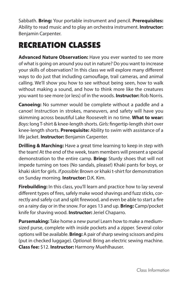Sabbath. **Bring:** Your portable instrument and pencil. **Prerequisites:**  Ability to read music and to play an orchestra instrument. **Instructor:**  Benjamin Carpenter.

#### RECREATION CLASSES

**Advanced Nature Observation:** Have you ever wanted to see more of what is going on around you out in nature? Do you want to increase your skills of observation? In this class we will explore many different ways to do just that including camouflage, trail cameras, and animal calling. We'll show you how to see without being seen, how to walk without making a sound, and how to think more like the creatures you want to see more (or less) of in the woods. **Instructor:** Rob Norris.

**Canoeing:** No summer would be complete without a paddle and a canoe! Instruction in strokes, maneuvers, and safety will have you skimming across beautiful Lake Roosevelt in no time. **What to wear:**  *Boys:* long T-shirt & knee-length shorts. *Girls:* fingertip-length shirt over knee-length shorts. **Prerequisite:** Ability to swim with assistance of a life jacket. **Instructor:** Benjamin Carpenter.

**Drilling & Marching:** Have a great time learning to keep in step with the team! At the end of the week, team members will present a special demonstration to the entire camp. **Bring:** Sturdy shoes that will not impede turning on toes (No sandals, please!) Khaki pants for boys, or khaki skirt for girls. *If possible:* Brown or khaki t-shirt for demonstration on Sunday morning. **Instructor:** D.K. Kim.

**Firebuilding:** In this class, you'll learn and practice how to lay several different types of fires, safely make wood shavings and fuzz sticks, correctly and safely cut and split firewood, and even be able to start a fire on a rainy day or in the snow. For ages 13 and up. **Bring:** Camp/pocket knife for shaving wood. **Instructor:** Jeriel Chaparro.

**Pursemaking:** Take home a new purse! Learn how to make a mediumsized purse, complete with inside pockets and a zipper. Several color options will be available. **Bring:** A pair of sharp sewing scissors and pins (put in checked luggage). *Optional:* Bring an electric sewing machine. **Class fee:** \$12. **Instructor:** Harmony Muehlhauser.